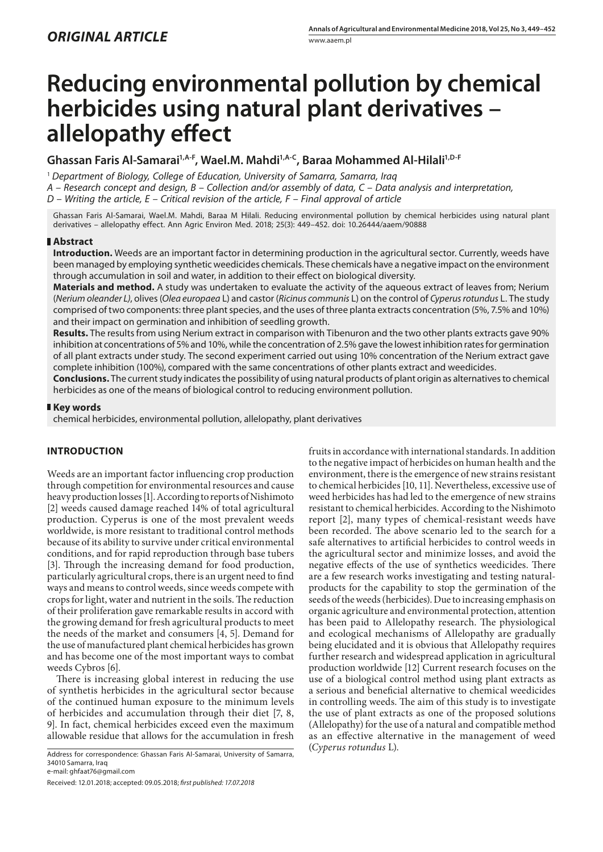# **Reducing environmental pollution by chemical herbicides using natural plant derivatives – allelopathy effect**

## **Ghassan Faris Al-Samarai1,A-F, Wael.M. Mahdi1,A-C, Baraa Mohammed Al-Hilali1,D-F**

<sup>1</sup> *Department of Biology, College of Education, University of Samarra, Samarra, Iraq A – Research concept and design, B – Collection and/or assembly of data, C – Data analysis and interpretation, D – Writing the article, E – Critical revision of the article, F – Final approval of article*

Ghassan Faris Al-Samarai, Wael.M. Mahdi, Baraa M Hilali. Reducing environmental pollution by chemical herbicides using natural plant derivatives – allelopathy effect. Ann Agric Environ Med. 2018; 25(3): 449–452. doi: 10.26444/aaem/90888

## **Abstract**

**Introduction.** Weeds are an important factor in determining production in the agricultural sector. Currently, weeds have been managed by employing synthetic weedicides chemicals. These chemicals have a negative impact on the environment through accumulation in soil and water, in addition to their effect on biological diversity.

**Materials and method.** A study was undertaken to evaluate the activity of the aqueous extract of leaves from; Nerium (*Nerium oleander L)*, olives (*Olea europaea* L) and castor (*Ricinus communis* L) on the control of *Cyperus rotundus* L. The study comprised of two components: three plant species, and the uses of three planta extracts concentration (5%, 7.5% and 10%) and their impact on germination and inhibition of seedling growth.

**Results.** The results from using Nerium extract in comparison with Tibenuron and the two other plants extracts gave 90% inhibition at concentrations of 5% and 10%, while the concentration of 2.5% gave the lowest inhibition rates for germination of all plant extracts under study. The second experiment carried out using 10% concentration of the Nerium extract gave complete inhibition (100%), compared with the same concentrations of other plants extract and weedicides.

**Conclusions.** The current study indicates the possibility of using natural products of plant origin as alternatives to chemical herbicides as one of the means of biological control to reducing environment pollution.

## **Key words**

chemical herbicides, environmental pollution, allelopathy, plant derivatives

## **INTRODUCTION**

Weeds are an important factor influencing crop production through competition for environmental resources and cause heavy production losses [1]. According to reports of Nishimoto [2] weeds caused damage reached 14% of total agricultural production. Cyperus is one of the most prevalent weeds worldwide, is more resistant to traditional control methods because of its ability to survive under critical environmental conditions, and for rapid reproduction through base tubers [3]. Through the increasing demand for food production, particularly agricultural crops, there is an urgent need to find ways and means to control weeds, since weeds compete with crops for light, water and nutrient in the soils. The reduction of their proliferation gave remarkable results in accord with the growing demand for fresh agricultural products to meet the needs of the market and consumers [4, 5]. Demand for the use of manufactured plant chemical herbicides has grown and has become one of the most important ways to combat weeds Cybros [6].

There is increasing global interest in reducing the use of synthetis herbicides in the agricultural sector because of the continued human exposure to the minimum levels of herbicides and accumulation through their diet [7, 8, 9]. In fact, chemical herbicides exceed even the maximum allowable residue that allows for the accumulation in fresh

(*Cyperus rotundus* L). Address for correspondence: Ghassan Faris Al-Samarai, University of Samarra, 34010 Samarra, Iraq

e-mail: ghfaat76@gmail.com

Received: 12.01.2018; accepted: 09.05.2018; *first published: 17.07.2018*

fruits in accordance with international standards. In addition to the negative impact of herbicides on human health and the environment, there is the emergence of new strains resistant to chemical herbicides [10, 11]. Nevertheless, excessive use of weed herbicides has had led to the emergence of new strains resistant to chemical herbicides. According to the Nishimoto report [2], many types of chemical-resistant weeds have been recorded. The above scenario led to the search for a safe alternatives to artificial herbicides to control weeds in the agricultural sector and minimize losses, and avoid the negative effects of the use of synthetics weedicides. There are a few research works investigating and testing naturalproducts for the capability to stop the germination of the seeds of the weeds (herbicides). Due to increasing emphasis on organic agriculture and environmental protection, attention has been paid to Allelopathy research. The physiological and ecological mechanisms of Allelopathy are gradually being elucidated and it is obvious that Allelopathy requires further research and widespread application in agricultural production worldwide [12] Current research focuses on the use of a biological control method using plant extracts as a serious and beneficial alternative to chemical weedicides in controlling weeds. The aim of this study is to investigate the use of plant extracts as one of the proposed solutions (Allelopathy) for the use of a natural and compatible method as an effective alternative in the management of weed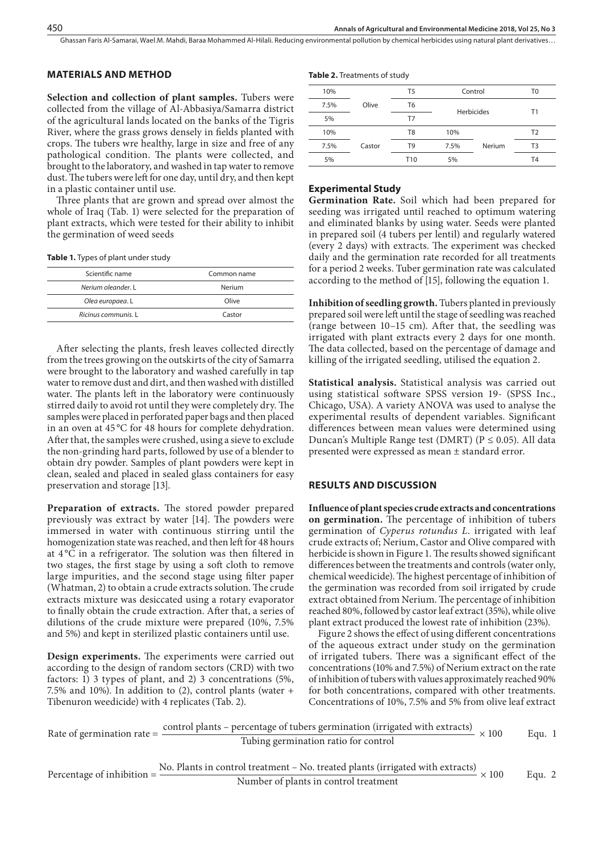Ghassan Faris Al-Samarai, Wael.M. Mahdi, Baraa Mohammed Al-Hilali. Reducing environmental pollution by chemical herbicides using natural plant derivatives…

## **MATERIALS AND METHOD**

**Selection and collection of plant samples.** Tubers were collected from the village of Al-Abbasiya/Samarra district of the agricultural lands located on the banks of the Tigris River, where the grass grows densely in fields planted with crops. The tubers wre healthy, large in size and free of any pathological condition. The plants were collected, and brought to the laboratory, and washed in tap water to remove dust. The tubers were left for one day, until dry, and then kept in a plastic container until use.

Three plants that are grown and spread over almost the whole of Iraq (Tab. 1) were selected for the preparation of plant extracts, which were tested for their ability to inhibit the germination of weed seeds

| Table 1. Types of plant under study |  |  |
|-------------------------------------|--|--|
|-------------------------------------|--|--|

| Scientific name     | Common name |
|---------------------|-------------|
| Nerium oleander. L  | Nerium      |
| Olea europaea. L    | Olive       |
| Ricinus communis. L | Castor      |
|                     |             |

After selecting the plants, fresh leaves collected directly from the trees growing on the outskirts of the city of Samarra were brought to the laboratory and washed carefully in tap water to remove dust and dirt, and then washed with distilled water. The plants left in the laboratory were continuously stirred daily to avoid rot until they were completely dry. The samples were placed in perforated paper bags and then placed in an oven at 45 °C for 48 hours for complete dehydration. After that, the samples were crushed, using a sieve to exclude the non-grinding hard parts, followed by use of a blender to obtain dry powder. Samples of plant powders were kept in clean, sealed and placed in sealed glass containers for easy preservation and storage [13].

**Preparation of extracts.** The stored powder prepared previously was extract by water [14]. The powders were immersed in water with continuous stirring until the homogenization state was reached, and then left for 48 hours at  $4^{\circ}$ C in a refrigerator. The solution was then filtered in two stages, the first stage by using a soft cloth to remove large impurities, and the second stage using filter paper (Whatman, 2) to obtain a crude extracts solution. The crude extracts mixture was desiccated using a rotary evaporator to finally obtain the crude extraction. After that, a series of dilutions of the crude mixture were prepared (10%, 7.5% and 5%) and kept in sterilized plastic containers until use.

**Design experiments.** The experiments were carried out according to the design of random sectors (CRD) with two factors: 1) 3 types of plant, and 2) 3 concentrations (5%, 7.5% and 10%). In addition to (2), control plants (water + Tibenuron weedicide) with 4 replicates (Tab. 2).

#### **Table 2.** Treatments of study

| 10%  |        | T <sub>5</sub> | Control    |        | T0             |
|------|--------|----------------|------------|--------|----------------|
| 7.5% | Olive  | T6             | Herbicides |        | Τ1             |
| 5%   |        | T7             |            |        |                |
| 10%  |        | T <sub>8</sub> | 10%        |        | T <sub>2</sub> |
| 7.5% | Castor | T9             | 7.5%       | Nerium | T3             |
| 5%   |        | T10            | 5%         |        | T <sub>4</sub> |

## **Experimental Study**

**Germination Rate.** Soil which had been prepared for seeding was irrigated until reached to optimum watering and eliminated blanks by using water. Seeds were planted in prepared soil (4 tubers per lentil) and regularly watered (every 2 days) with extracts. The experiment was checked daily and the germination rate recorded for all treatments for a period 2 weeks. Tuber germination rate was calculated according to the method of [15], following the equation 1.

**Inhibition of seedling growth.** Tubers planted in previously prepared soil were left until the stage of seedling was reached (range between 10–15 cm). After that, the seedling was irrigated with plant extracts every 2 days for one month. The data collected, based on the percentage of damage and killing of the irrigated seedling, utilised the equation 2.

**Statistical analysis.** Statistical analysis was carried out using statistical software SPSS version 19- (SPSS Inc., Chicago, USA). A variety ANOVA was used to analyse the experimental results of dependent variables. Significant differences between mean values were determined using Duncan's Multiple Range test (DMRT) ( $P \le 0.05$ ). All data presented were expressed as mean ± standard error.

## **RESULTS AND DISCUSSION**

**Influence of plant species crude extracts and concentrations on germination.** The percentage of inhibition of tubers germination of *Cyperus rotundus L*. irrigated with leaf crude extracts of; Nerium, Castor and Olive compared with herbicide is shown in Figure 1. The results showed significant differences between the treatments and controls (water only, chemical weedicide). The highest percentage of inhibition of the germination was recorded from soil irrigated by crude extract obtained from Nerium. The percentage of inhibition reached 80%, followed by castor leaf extract (35%), while olive plant extract produced the lowest rate of inhibition (23%).

Figure 2 shows the effect of using different concentrations of the aqueous extract under study on the germination of irrigated tubers. There was a significant effect of the concentrations (10% and 7.5%) of Nerium extract on the rate of inhibition of tubers with values approximately reached 90% for both concentrations, compared with other treatments. Concentrations of 10%, 7.5% and 5% from olive leaf extract

Rate of germination rate = 
$$
\frac{\text{control plants} - \text{percentage of tubes germination (irrigated with extracts)}}{\text{Tubing germination ratio for control}} \times 100
$$
 Equ. 1

Percentage of inhibition = 
$$
\frac{\text{No. Plants in control treatment - No. treated plants (irrigated with extracts)}}{\text{Number of plants in control treatment}} \times 100
$$
 Equ. 2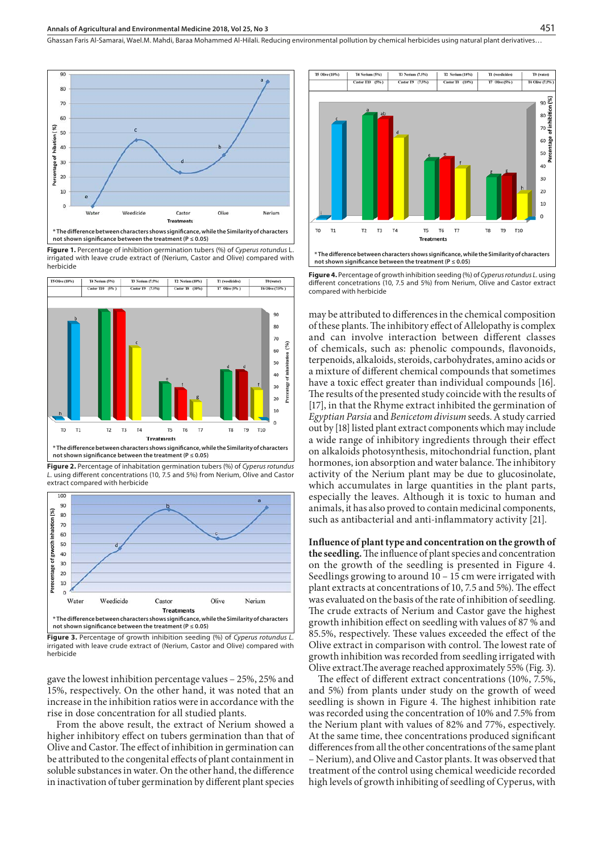Ghassan Faris Al-Samarai, Wael.M. Mahdi, Baraa Mohammed Al-Hilali. Reducing environmental pollution by chemical herbicides using natural plant derivatives…



**Figure 1.** Percentage of inhibition germination tubers (%) of *Cyperus rotundus* L. irrigated with leave crude extract of (Nerium, Castor and Olive) compared with herbicide



**\* The difference between characters shows significance, while the Similarity of characters not shown significance between the treatment (P ≤ 0.05)**

**Figure 2.** Percentage of inhabitation germination tubers (%) of *Cyperus rotundus L.* using different concentrations (10, 7.5 and 5%) from Nerium, Olive and Castor extract compared with herbicide



**Figure 3.** Percentage of growth inhibition seeding (%) of *Cyperus rotundus L.*  irrigated with leave crude extract of (Nerium, Castor and Olive) compared with herbicide

gave the lowest inhibition percentage values – 25%, 25% and 15%, respectively. On the other hand, it was noted that an increase in the inhibition ratios were in accordance with the rise in dose concentration for all studied plants.

From the above result, the extract of Nerium showed a higher inhibitory effect on tubers germination than that of Olive and Castor. The effect of inhibition in germination can be attributed to the congenital effects of plant containment in soluble substances in water. On the other hand, the difference in inactivation of tuber germination by different plant species



**Figure 4.** Percentage of growth inhibition seeding (%) of *Cyperus rotundus L.* using different concetrations (10, 7.5 and 5%) from Nerium, Olive and Castor extract compared with herbicide

may be attributed to differences in the chemical composition of these plants. The inhibitory effect of Allelopathy is complex and can involve interaction between different classes of chemicals, such as: phenolic compounds, flavonoids, terpenoids, alkaloids, steroids, carbohydrates, amino acids or a mixture of different chemical compounds that sometimes have a toxic effect greater than individual compounds [16]. The results of the presented study coincide with the results of [17], in that the Rhyme extract inhibited the germination of *Egyptian Parsia* and *Benicetom divisum* seeds. A study carried out by [18] listed plant extract components which may include a wide range of inhibitory ingredients through their effect on alkaloids photosynthesis, mitochondrial function, plant hormones, ion absorption and water balance. The inhibitory activity of the Nerium plant may be due to glucosinolate, which accumulates in large quantities in the plant parts, especially the leaves. Although it is toxic to human and animals, it has also proved to contain medicinal components, such as antibacterial and anti-inflammatory activity [21].

**Influence of plant type and concentration on the growth of the seedling.** The influence of plant species and concentration on the growth of the seedling is presented in Figure 4. Seedlings growing to around 10 – 15 cm were irrigated with plant extracts at concentrations of 10, 7.5 and 5%). The effect was evaluated on the basis of the rate of inhibition of seedling. The crude extracts of Nerium and Castor gave the highest growth inhibition effect on seedling with values of 87 % and 85.5%, respectively. These values exceeded the effect of the Olive extract in comparison with control. The lowest rate of growth inhibition was recorded from seedling irrigated with Olive extract.The average reached approximately 55% (Fig. 3).

The effect of different extract concentrations (10%, 7.5%, and 5%) from plants under study on the growth of weed seedling is shown in Figure 4. The highest inhibition rate was recorded using the concentration of 10% and 7.5% from the Nerium plant with values of 82% and 77%, espectively. At the same time, thee concentrations produced significant differences from all the other concentrations of the same plant – Nerium), and Olive and Castor plants. It was observed that treatment of the control using chemical weedicide recorded high levels of growth inhibiting of seedling of Cyperus, with